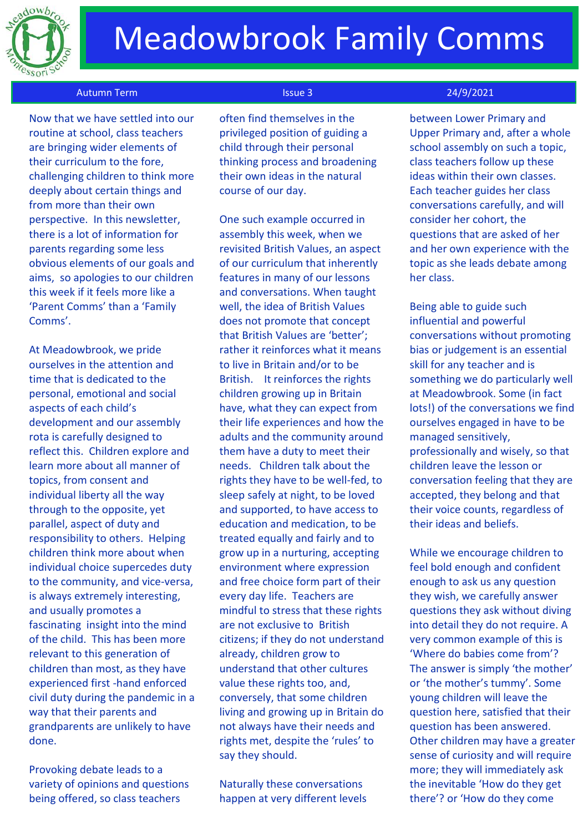

# Meadowbrook Family Comms

### Autumn Term Issue 3 24/9/2021

 Now that we have settled into our routine at school, class teachers are bringing wider elements of their curriculum to the fore, challenging children to think more deeply about certain things and from more than their own perspective. In this newsletter, there is a lot of information for parents regarding some less obvious elements of our goals and aims, so apologies to our children this week if it feels more like a 'Parent Comms' than a 'Family Comms'.

At Meadowbrook, we pride ourselves in the attention and time that is dedicated to the personal, emotional and social aspects of each child's development and our assembly rota is carefully designed to reflect this. Children explore and learn more about all manner of topics, from consent and individual liberty all the way through to the opposite, yet parallel, aspect of duty and responsibility to others. Helping children think more about when individual choice supercedes duty to the community, and vice-versa, is always extremely interesting, and usually promotes a fascinating insight into the mind of the child. This has been more relevant to this generation of children than most, as they have experienced first -hand enforced civil duty during the pandemic in a way that their parents and grandparents are unlikely to have done.

Provoking debate leads to a variety of opinions and questions being offered, so class teachers

often find themselves in the privileged position of guiding a child through their personal thinking process and broadening their own ideas in the natural course of our day.

One such example occurred in assembly this week, when we revisited British Values, an aspect of our curriculum that inherently features in many of our lessons and conversations. When taught well, the idea of British Values does not promote that concept that British Values are 'better'; rather it reinforces what it means to live in Britain and/or to be British. It reinforces the rights children growing up in Britain have, what they can expect from their life experiences and how the adults and the community around them have a duty to meet their needs. Children talk about the rights they have to be well-fed, to sleep safely at night, to be loved and supported, to have access to education and medication, to be treated equally and fairly and to grow up in a nurturing, accepting environment where expression and free choice form part of their every day life. Teachers are mindful to stress that these rights are not exclusive to British citizens; if they do not understand already, children grow to understand that other cultures value these rights too, and, conversely, that some children living and growing up in Britain do not always have their needs and rights met, despite the 'rules' to say they should.

Naturally these conversations happen at very different levels

between Lower Primary and Upper Primary and, after a whole school assembly on such a topic, class teachers follow up these ideas within their own classes. Each teacher guides her class conversations carefully, and will consider her cohort, the questions that are asked of her and her own experience with the topic as she leads debate among her class.

Being able to guide such influential and powerful conversations without promoting bias or judgement is an essential skill for any teacher and is something we do particularly well at Meadowbrook. Some (in fact lots!) of the conversations we find ourselves engaged in have to be managed sensitively, professionally and wisely, so that children leave the lesson or conversation feeling that they are accepted, they belong and that their voice counts, regardless of their ideas and beliefs.

While we encourage children to feel bold enough and confident enough to ask us any question they wish, we carefully answer questions they ask without diving into detail they do not require. A very common example of this is 'Where do babies come from'? The answer is simply 'the mother' or 'the mother's tummy'. Some young children will leave the question here, satisfied that their question has been answered. Other children may have a greater sense of curiosity and will require more; they will immediately ask the inevitable 'How do they get there'? or 'How do they come